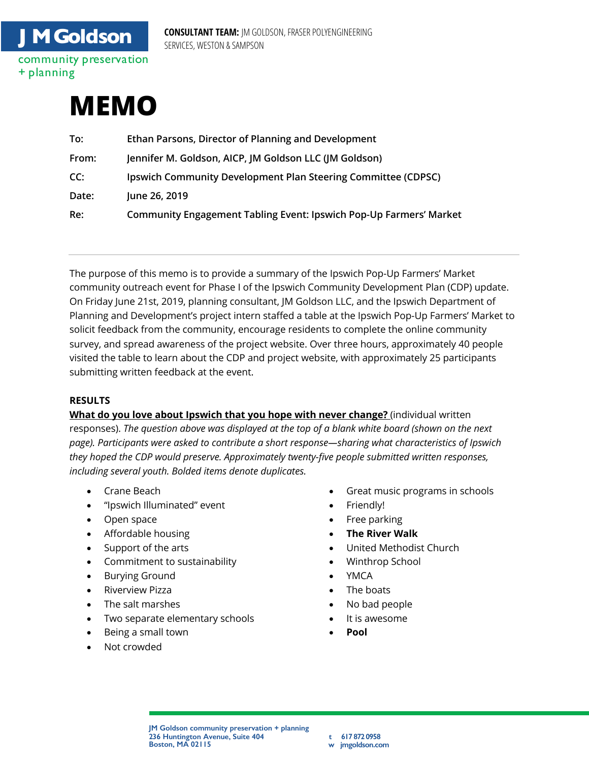

+ planning

**CONSULTANT TEAM:** JM GOLDSON, FRASER POLYENGINEERING SERVICES, WESTON & SAMPSON



| To:   | Ethan Parsons, Director of Planning and Development                       |
|-------|---------------------------------------------------------------------------|
| From: | Jennifer M. Goldson, AICP, JM Goldson LLC (JM Goldson)                    |
| CC:   | <b>Ipswich Community Development Plan Steering Committee (CDPSC)</b>      |
| Date: | June 26, 2019                                                             |
| Re:   | <b>Community Engagement Tabling Event: Ipswich Pop-Up Farmers' Market</b> |

The purpose of this memo is to provide a summary of the Ipswich Pop-Up Farmers' Market community outreach event for Phase I of the Ipswich Community Development Plan (CDP) update. On Friday June 21st, 2019, planning consultant, JM Goldson LLC, and the Ipswich Department of Planning and Development's project intern staffed a table at the Ipswich Pop-Up Farmers' Market to solicit feedback from the community, encourage residents to complete the online community survey, and spread awareness of the project website. Over three hours, approximately 40 people visited the table to learn about the CDP and project website, with approximately 25 participants submitting written feedback at the event.

## **RESULTS**

**What do you love about Ipswich that you hope with never change?** (individual written responses). *The question above was displayed at the top of a blank white board (shown on the next page). Participants were asked to contribute a short response—sharing what characteristics of Ipswich they hoped the CDP would preserve. Approximately twenty-five people submitted written responses, including several youth. Bolded items denote duplicates.* 

- Crane Beach
- "Ipswich Illuminated" event
- Open space
- Affordable housing
- Support of the arts
- Commitment to sustainability
- Burying Ground
- Riverview Pizza
- The salt marshes
- Two separate elementary schools
- Being a small town
- Not crowded
- Great music programs in schools
- Friendly!
- Free parking
- **The River Walk**
- United Methodist Church
- Winthrop School
- YMCA
- The boats
- No bad people
- It is awesome
- **Pool**

w jmgoldson.com